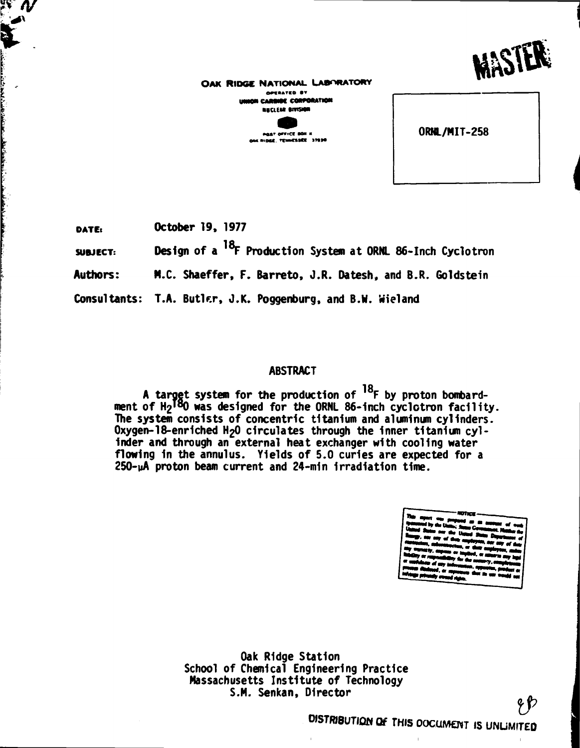

**OAK RIDGE NATIONAL LABORATORY OPERATED BY NMIGH CARGAINE CORPORATION ••CUU tlflSMH** 

> **MAAT OFFICE BOX A** ERIOGE, TENNESSEE 37830

**ORNL/MIT-258** 

**DATE: October 19, 1977** 

ستطيف بالمخاطب والمعامر والمناسب المتحد والمتحدث والمتعارف والمتحدث والمتحدث والمتحدث

**SUBJECT: Design of a<sup>18</sup> F Production System at ORNL 86-Inch Cyclotron** 

**Authors: M.C. Shaeffer, F. Barreto, J.R. Datesh, and B.R. Goldstein** 

**Consultants: T.A. Butler, J.K. Poggenburg, and B.H. Wieland** 

### **ABSTRACT**

**A target system for the production of**  $^{18}$ **F by proton bombardment of H2' <sup>8</sup> 0 was designed for the ORNL 86-inch cyclotron facility. The system consists of concentric titanium and aluminum cylinders.**  Oxygen-18-enriched H<sub>2</sub>O circulates through the inner titanium cyl**inder and through an external heat exchanger with cooling water**  flowing in the annulus. Yields of 5.0 curies are expected for a **250-yA proton beam current and 24-min Irradiation time.** 

**Oak Ridge Station School of Chemical Engineering Practice Massachusetts Institute of Technology S.M. Senkan, Director**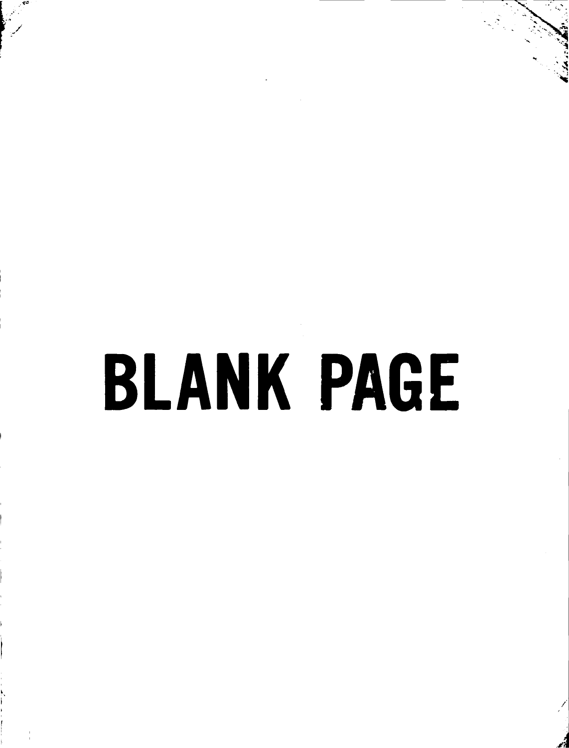# **BLANK PAGE**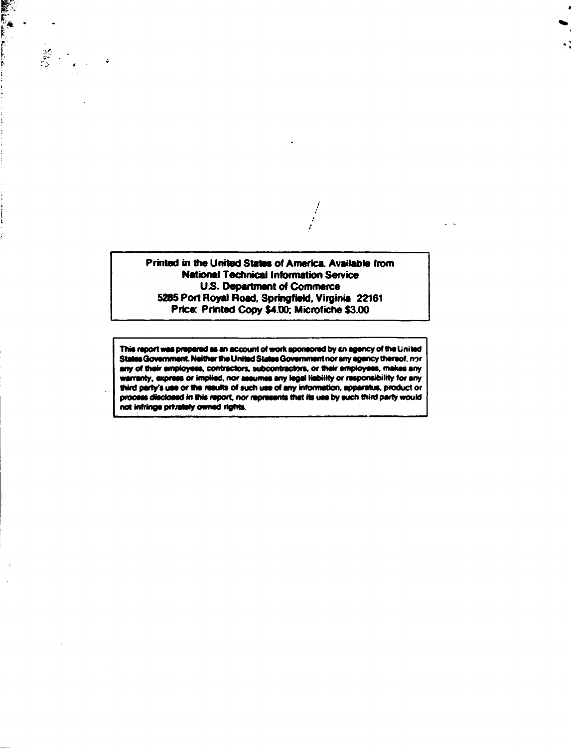Printed in the United States of America. Available from **National Technical Information Service** U.S. Department of Commerce 5285 Port Royal Road, Springfield, Virginia 22161 Price: Printed Copy \$4.00; Microfiche \$3.00

**BALLA** 

This report was prepared as an account of work sponsored by an agency of the United States Government. Neither the United States Government nor any agency thereof, nor any of their employees, contractors, subcontractors, or their employees, makes any warranty, express or implied, nor assumes any legal liability or responsibility for any third party's use or the results of such use of any information, apparatus, product or process disclosed in this report, nor represents that its use by such third party would not infringe privately owned rights.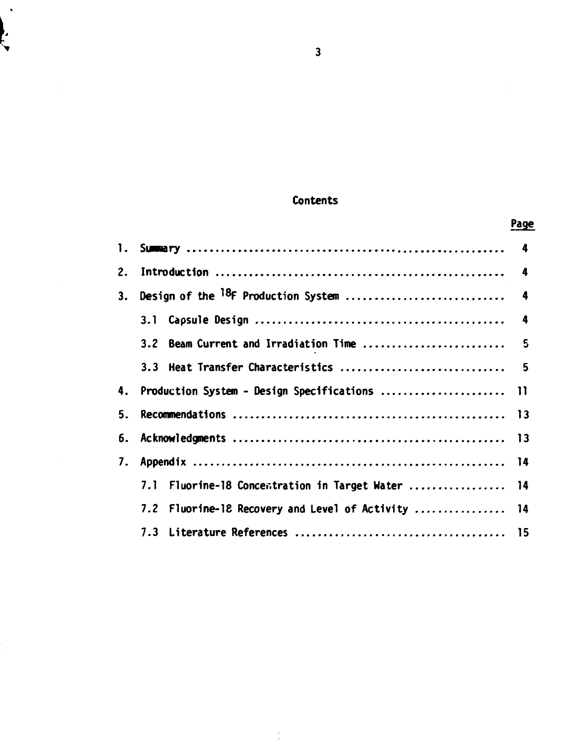## **Contents**

|    |                                                    | Page                    |
|----|----------------------------------------------------|-------------------------|
|    |                                                    | $\overline{\mathbf{A}}$ |
| 2. |                                                    | 4                       |
| 3. | Design of the <sup>18</sup> F Production System    | $\frac{1}{2}$           |
|    |                                                    | 4                       |
|    | 3.2                                                |                         |
|    | 3.3 Heat Transfer Characteristics                  | $-5$                    |
| 4. | Production System - Design Specifications  11      |                         |
| 5. |                                                    |                         |
| 6. |                                                    |                         |
| 7. |                                                    |                         |
|    | 7.1 Fluorine-18 Concentration in Target Water  14  |                         |
|    | 7.2 Fluorine-18 Recovery and Level of Activity  14 |                         |
|    |                                                    |                         |

 $\frac{1}{4}$ 

**3** 

 $\langle \rangle$ 

L<br>V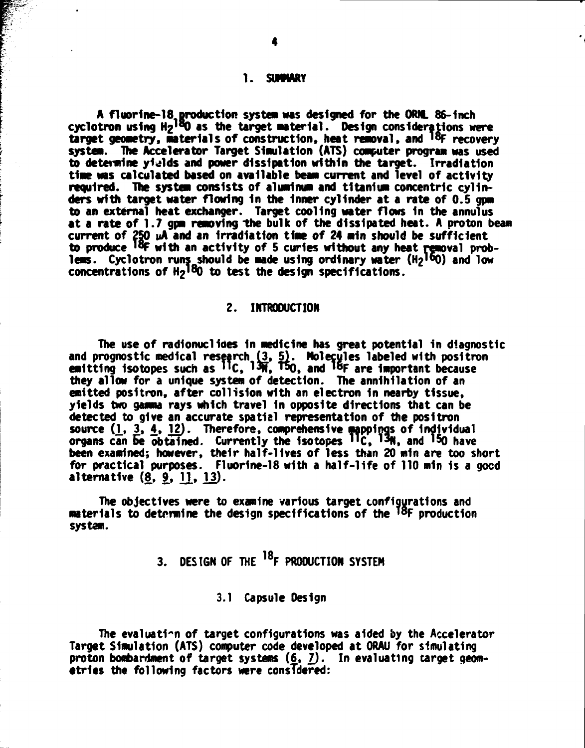### **1 . SUMMARY**

**A fluorlne-18production system was designed for the ORNL 86-Inch**  c**yclotron using H2<sup>10</sup>O as the target material. Design considerations were** target geometry, materials of construction, heat removal, and <sup>18</sup>F recovery **system. The Accelerator Target Simulation (ATS) computer program was used to determine yields and power dissipation within the target. Irradiation time was calculated based on available beam current and level of activity required. The system consists of aluminum and titanium concentric cylinders with target water flowing 1n the Inner cylinder at a rate of 0.5 gpm to an external heat exchanger. Target cooling water flows In the annulus at a rate of 1.7 gpm removing the bulk of the dissipated heat. A proton beam current of 250 vA and an Irradiation time** *of* **24 min should be sufficient to produce <sup>18</sup> F with an activity of 5 curies without any heat removal problems.** Cyclotron runs should be made using ordinary water (H<sub>2</sub><sup>16</sup>0) and low concentrations of H<sub>2</sub><sup>18</sup>0 to test the design specifications.

### **2. INTRODUCTION**

The use of radionuclides in medicine has great potential in diagnostic **and prognostic medical research (3, 5). Molecules labeled with positron emitting Isotopes such as "C , 1\$7, T^O, and >°F are Important because they allow for a unique system of detection. The annihilation of an emitted positron, after collision with an electron In nearby tissue, yields two gamma rays which travel In opposite directions that can be detected to give an accurate spatial representation of the positron**  source (1, 3, 4, 12). Therefore, comprehensive mappings of individual organs can be obtained. Currently the isotopes <sup>11</sup>C, <sup>13</sup>N, and <sup>15</sup>0 have **been examined; however, their half-lives of less than 20 min are too short for practical purposes. F1uor1ne-18 with a half-life of 110 min Is a good alternative (8, 9, lj., 13).** 

**The objectives were to examine various target configurations and materials to determine the design specifications of the "\*F production system.** 

**3. DESIGN OF THE '°F PRODUCTION SYSTEM** 

**3.1 Capsule Design** 

**The evaluation of target configurations was aided** *by* **the Accelerator Target Simulation (ATS) computer code developed at ORAU for simulating proton bombardment of target systems (6,** *7).* **In evaluating target geometries the following factors were considered:**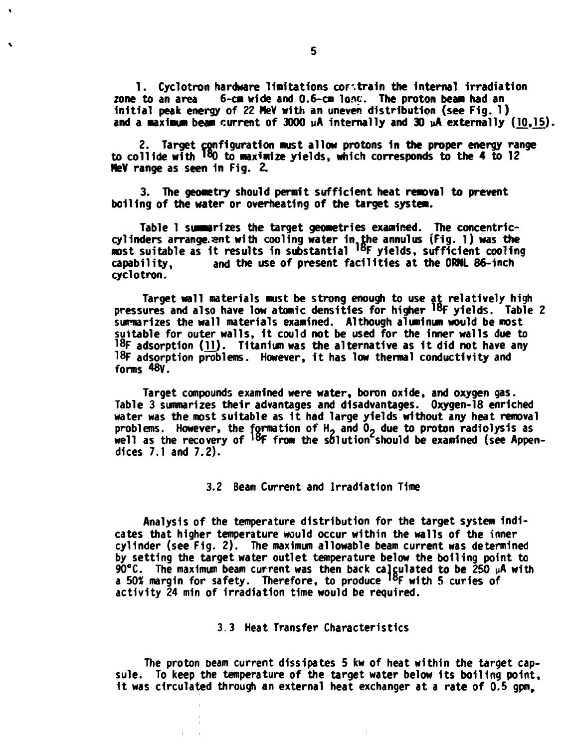**1. Cyclotron hardware limitations cor'train the Internal Irradiation zone to an area 6-cm wide and 0.6-cm lone. The proton beam had an initial peak energy of 22 MeV with an uneven distribution (see Fig. 1) and a maximum beam current of 3000 uA internally and 30 uA externally (10,15).** 

**2. Target configuration must allow protons In the proper energy range to collide with <sup>18</sup> 0 to maximize yields, which corresponds to the 4 to 12 NeV range as seen in Fig. 2.** 

**3. The geometry should permit sufficient heat removal to prevent boiling of the water or overheating of the target system.** 

**Table 1 summarizes the target geometries examined. The concentric**cylinders arrange. **ent with cooling water in. <sub>s</sub>he annulus (Fig. 1) was the**  $\blacksquare$ **most suitable as It results in substantial <sup>18</sup> F yields, sufficient cooling capability, and the use of present facilities at the 0RNL 86-inch cyclotron.** 

**Target wall materials must be strong enough to use at relatively high**  pressures and also have low atomic densities for higher <sup>18</sup>F yields. Table 2 **sun-narizes the wall materials examined. Although aluminum would be most suitable for outer walls, it could not be used for the inner walls due to**  18F adsorption (11). Titanium was the alternative as it did not have any **1&F adsorption problems. However, it has low thermal conductivity and forms 48V.** 

**Target compounds examined were water, boron oxide, and oxygen gas. Table 3 summarizes their advantages and disadvantages. Oxygen-18 enriched water was the most suitable as it had large yields without any heat removal**  problems. However, the formation of H<sub>2</sub> and O<sub>2</sub> due to proton radiolysis as well as the recovery of '<sup>o</sup>f from the solution should be examined (see Appen<sub>'</sub> **dices 7.1 and 7.2).** 

### **3.2 Beam Current and Irradiation Time**

**Analysis of the temperature distribution for the target system indicates that higher temperature would occur within the walls of the inner cylinder (see Fig. 2). The maximum allowable beam current was determined by setting the target water outlet temperature below the boiling point to 90°C. The maximum beam current was then back calculated to be 250 pA with a 5055 margin for safety. Therefore, to produce <sup>18</sup> F with 5 curies of activity 24 m1n of Irradiation time would be required.** 

### **3.3 Heat Transfer Characteristics**

**The proton beam current dissipates 5 kw of heat within the target capsule. To keep the temperature of the target water below Its boiling point, it was circulated through an external heat exchanger at a rate of 0.5 gpm.**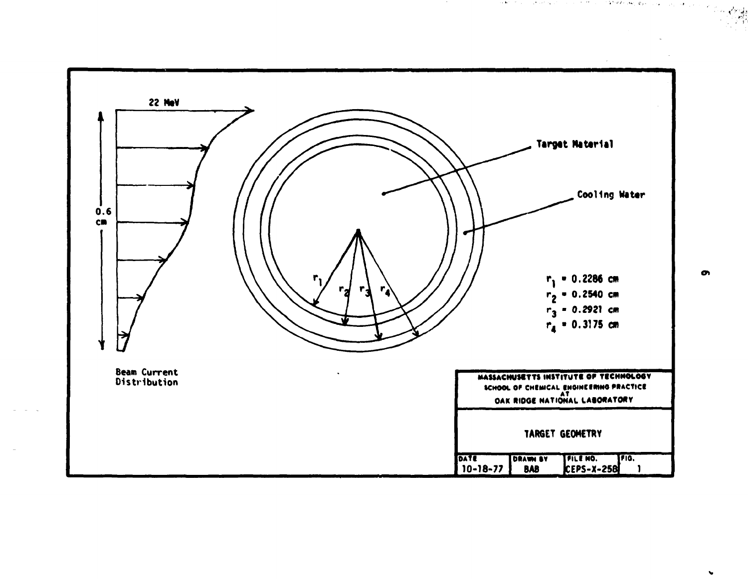

 $\bullet$ 

وان مواطن المراج المراج المراج المحاج المراج المراجع المحاج المحاج المحاج المحاج المحاج المحاج المحاج المحاج ا<br>والمحاج المحاج المحاج المحاج المحاج المحاج المحاج المحاج المحاج المحاج المحاج المحاج المحاج المحاج المحاج الم

 $\sqrt{2}$  , and  $\sqrt{2}$ 

 $\sim$  100  $\sim$  100  $\sim$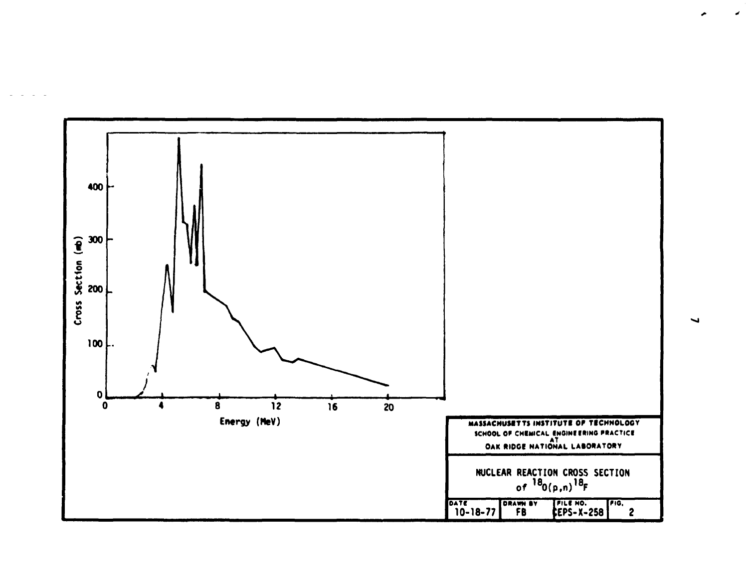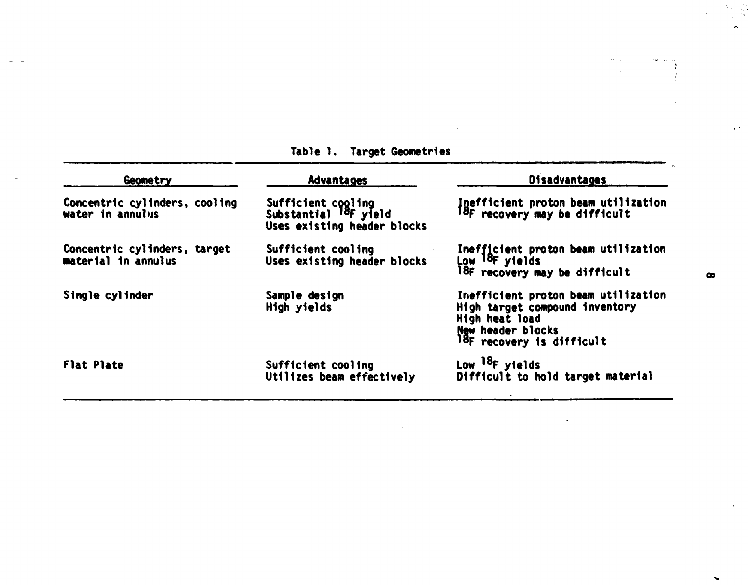| Geometry                                            | <b>Advantages</b>                                                          | Disadvantages                                                                                                                                         |
|-----------------------------------------------------|----------------------------------------------------------------------------|-------------------------------------------------------------------------------------------------------------------------------------------------------|
| Concentric cylinders, cooling<br>water in annulus   | Sufficient cogling<br>Substantial 18F yield<br>Uses existing header blocks | Inefficient proton beam utilization<br><sup>18</sup> F recovery may be difficult                                                                      |
| Concentric cylinders, target<br>material in annulus | Sufficient cooling<br>Uses existing header blocks                          | Inefficient proton beam utilization<br>Low 18F yields<br>18F recovery may be difficult                                                                |
| Single cylinder                                     | Sample design<br>High yields                                               | Inefficient proton beam utilization<br>High target compound inventory<br>High heat load<br>New header blocks<br><sup>18</sup> F recovery is difficult |
| <b>Flat Plate</b>                                   | Sufficient cooling<br>Utilizes beam effectively                            | Low <sup>18</sup> F yields<br>Difficult to hold target material                                                                                       |

**Table 1. Target Geometries** 

 $\mathcal{E}_\mathrm{f}$ 

 $\mathcal{L}^{\mathcal{L}}$ 

 $\begin{picture}(180,10) \put(0,0){\line(1,0){10}} \put(10,0){\line(1,0){10}} \put(10,0){\line(1,0){10}} \put(10,0){\line(1,0){10}} \put(10,0){\line(1,0){10}} \put(10,0){\line(1,0){10}} \put(10,0){\line(1,0){10}} \put(10,0){\line(1,0){10}} \put(10,0){\line(1,0){10}} \put(10,0){\line(1,0){10}} \put(10,0){\line(1,0){10}} \put(10,0){\line($ 

 $\ddot{\phantom{a}}$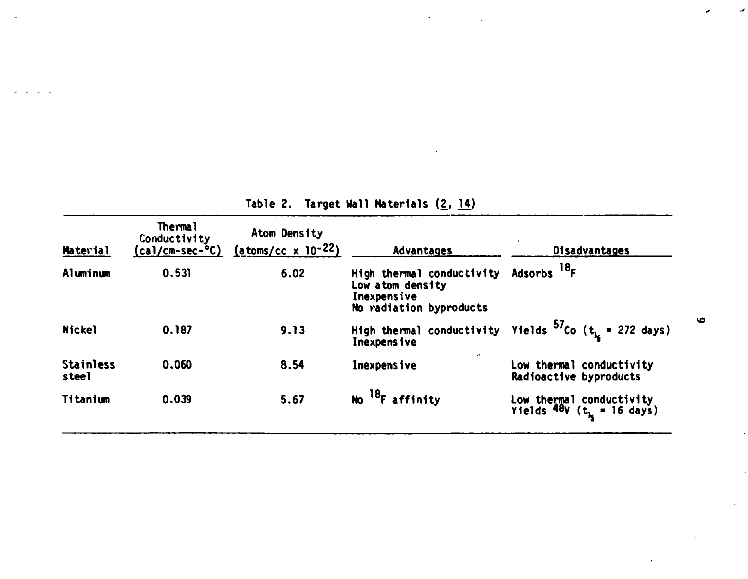| Material                  | <b>Thermal</b><br>Conductivity<br>(cal/cm-sec-°C) | Atom Density<br>$(\text{atoms/cc} \times 10^{-22})$ | <b>Advantages</b>                                                                       | Disadvantages                                                        |
|---------------------------|---------------------------------------------------|-----------------------------------------------------|-----------------------------------------------------------------------------------------|----------------------------------------------------------------------|
| Aluminum                  | 0.531                                             | 6.02                                                | High thermal conductivity<br>Low atom density<br>Inexpensive<br>No radiation byproducts | Adsorbs <sup>18</sup> F                                              |
| <b>Nickel</b>             | 0.187                                             | 9.13                                                | Inexpensive                                                                             | High thermal conductivity Yields $57$ Co (t <sub>k</sub> = 272 days) |
| <b>Stainless</b><br>steel | 0.060                                             | 8.54                                                | Inexpensive                                                                             | Low thermal conductivity<br>Radioactive byproducts                   |
| Titanium                  | 0.039                                             | 5.67                                                | No <sup>18</sup> F affinity                                                             | Low thermal conductivity<br>Yields $48v$ (t <sub>k</sub> = 16 days)  |

Table 2. Target Wall Materials (2, 14)

 $\star$ 

**Service** 

**vo** 

 $\boldsymbol{\mathcal{L}}$ 

 $\bullet$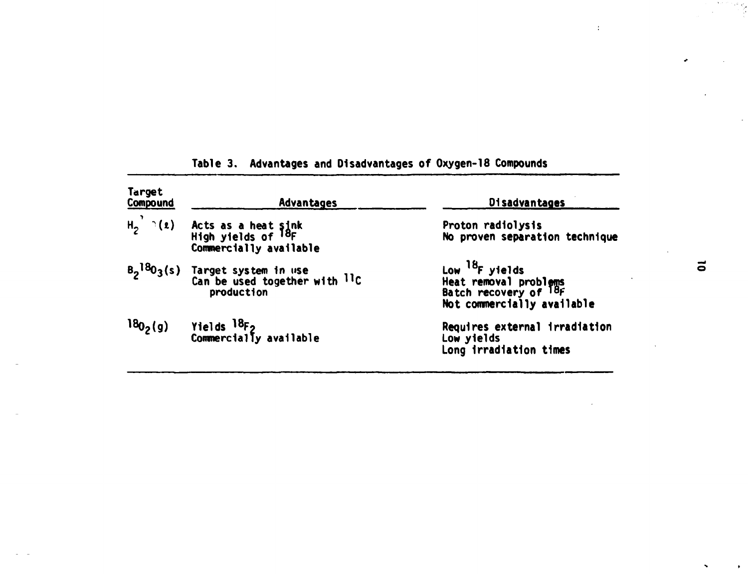| Target<br>Compound      | <b>Advantages</b>                                                                                                      | Disadvantages                                                                                                    |
|-------------------------|------------------------------------------------------------------------------------------------------------------------|------------------------------------------------------------------------------------------------------------------|
| $H_2^{\prime} \cap (2)$ | Acts as a heat sink<br>High yields of <sup>18</sup> F<br>Commercially available                                        | Proton radiolysis<br>No proven separation technique                                                              |
|                         | $B_2$ <sup>18</sup> 0 <sub>3</sub> (s) Target system in use<br>Can be used together with <sup>11</sup> C<br>production | Low $^{18}$ F yields<br>Heat removal problems<br>Batch recovery of <sup>18</sup> F<br>Not commercially available |
| 180 <sub>2</sub> (g)    | Yields <sup>18</sup> F <sub>2</sub><br>Commercially available                                                          | Requires external irradiation<br>Low yields<br>Long irradiation times                                            |

# **Table 3. Advantages and Disadvantages of Oxygen-18 Compounds**

 $\tilde{\phantom{a}}$ 

 $\bullet$ 

٠

 $\ddot{\star}$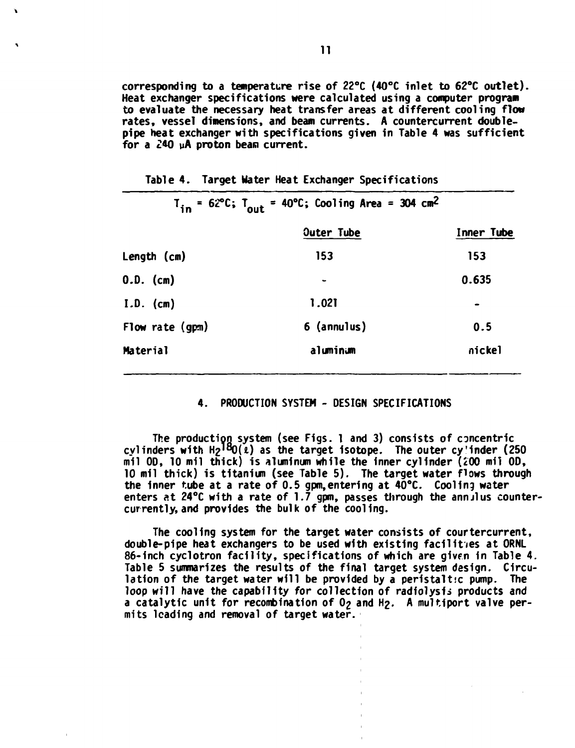**corresponding to a temperature rise of 22°C (40°C inlet to 62°C outlet). Heat exchanger specifications were calculated using a computer program to evaluate the necessary heat transfer areas at different cooling flow rates, vessel dimensions, and beam currents. A countercurrent doublepipe heat exchanger with specifications given in Table 4 was sufficient for a 2\*0 uA proton beam current.** 

| $T_{\text{in}}$ = $D\angle$ $C_{\text{in}}$ ; $T_{\text{out}}$ = $40$ $C_{\text{in}}$ $5$ $C_{\text{out}}$ and $T_{\text{out}}$ are $T_{\text{out}}$ and $T_{\text{out}}$ |             |            |
|---------------------------------------------------------------------------------------------------------------------------------------------------------------------------|-------------|------------|
|                                                                                                                                                                           | Outer Tube  | Inner Tube |
| Length (cm)                                                                                                                                                               | 153         | 153        |
| $0.D.$ (cm)                                                                                                                                                               | ٠           | 0.635      |
| $I.D.$ (cm)                                                                                                                                                               | 1.021       |            |
| Flow rate $(gpm)$                                                                                                                                                         | 6 (annulus) | 0.5        |
| Material                                                                                                                                                                  | aluminum    | nickel     |
|                                                                                                                                                                           |             |            |

 $\frac{1}{2}$  620<sup>c</sup>; T . = 40<sup>0</sup>C; Cooling Area = 304 cm<sup>2</sup>

**Table 4. Target Hater Heat Exchanger Specifications** 

### **PRODUCTION SYSTEM - DESIGN SPECIFICATIONS**

**The production system (see Figs. 1 and 3) consists of concentric**   $c$ ylinders with  $H_2$ <sup>18</sup>0 $(\iota)$  as the target isotope. The outer cy'inder (250 **mil 0D, 10 mil thick) is aluminum while the inner cylinder (200 mil 0D, 10 mil thick) is titanium (see Table 5). The target water flows through the inner tube at a rate of 0.5 gpm,entering at 40°C. Cooling water enters at 24°C with a rate of 1.7 gpm, passes titrough the annjius countercurrently, and provides the bulk of the cooling.** 

**The cooling system for the target water consists of courtercurrent, double-pipe heat exchangers to be used with existing facilities at ORNL 86-inch cyclotron facility, specifications of which are given In Table 4. Table 5 summarizes the results of the final target system design. Circulation of the target water will be provided by a peristaltic pump. The loop will have the capability for collection of radiolysis products and a catalytic unit for recombination of Og and H2- A multiport valve permits leading and removal of target water.**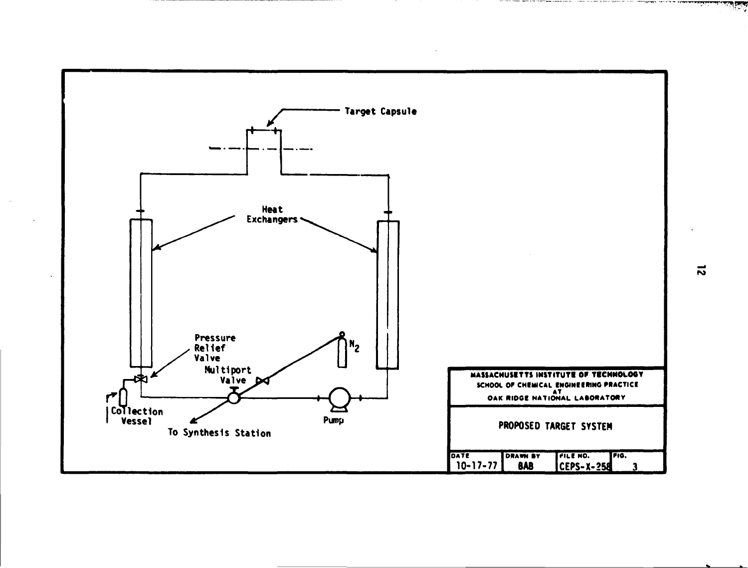

شفشت

تغنظ لتند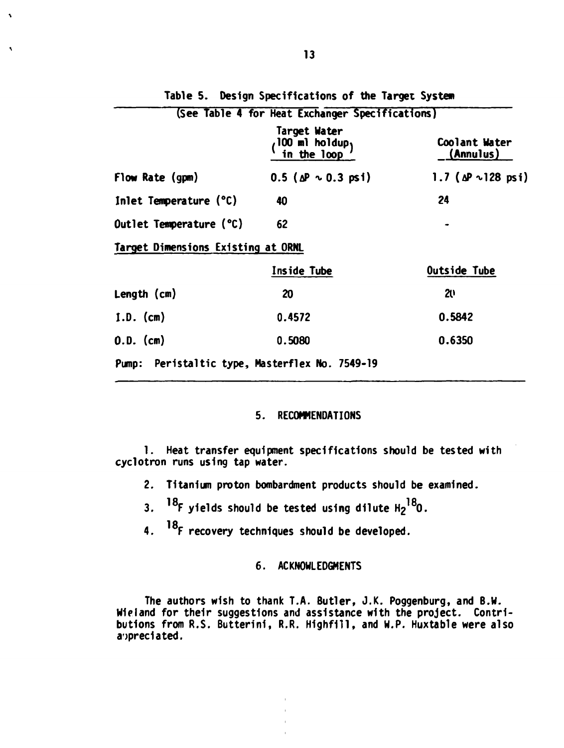|                                                | (See Table 4 for Heat Exchanger Specifications)           |                                |
|------------------------------------------------|-----------------------------------------------------------|--------------------------------|
|                                                | Target Water<br>100 ml holdup <sub>h</sub><br>in the loop | Coolant Water<br>(Annulus)     |
| Flow Rate (gpm)                                | $0.5$ ( $\Delta P \sim 0.3$ ps1)                          | 1.7 ( $\Delta P \sim 128$ psi) |
| Inlet Temperature (°C)                         | 40                                                        | 24                             |
| Outlet Temperature (°C)                        | 62                                                        |                                |
| Target Dimensions Existing at ORNL             |                                                           |                                |
|                                                | Inside Tube                                               | Outside Tube                   |
| Length $(cm)$                                  | 20                                                        | 20                             |
| $1.D.$ (cm)                                    | 0.4572                                                    | 0.5842                         |
| $0.D.$ (cm)                                    | 0.5080                                                    | 0.6350                         |
| Pump: Peristaltic type, Masterflex No. 7549-19 |                                                           |                                |

**Table 5. Design Specifications of the Target System** 

### **5. RECOMMENDATIONS**

**1. Heat transfer equipment specifications should be tested with cyclotron runs using tap water.** 

- **2. Titanium proton bombardment products should be examined.**
- <sup>18</sup> **18** *P*<sup>18</sup>0. **3.**
- **1 8<sup>c</sup> F recovery techniques should be developed.**

### **6. ACKNOWLEDGMENTS**

**The authors wish to thank T.A. Butler, J.K. Poggenburg, and B.W. Wleland for their suggestions and assistance with the project. Contributions from R.S. Butterinl, R.R. Highfill, and W.P. Huxtabie were also appreciated.** 

 $\cdot$ 

 $\mathbf{A}$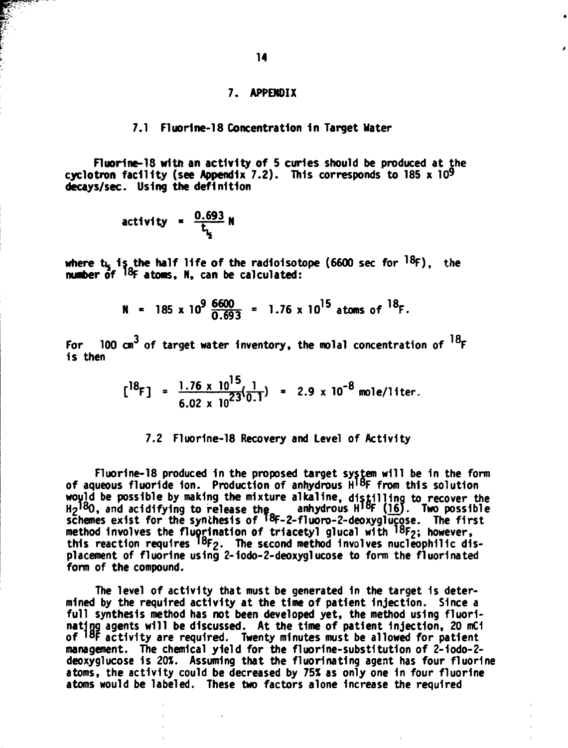### **7. APPENDIX**

### **7.1 Fluorlne-18 Concentration In Target Hater**

**Fluorine-18 with an activity of 5 curies should be produced at the cyclotron facility (see Appendix 7.2). This corresponds to 185 x 10<sup>9</sup> decays/sec. Using the definition** 

activity = 
$$
\frac{0.693}{t_{l_2}}
$$
 N

**where number tij Is the half life of the radioisotope (6600 sec for <sup>18</sup> F ), the of <sup>18</sup>F atoms, N, can be calculated:** 

$$
N = 185 \times 10^9 \frac{6600}{0.693} = 1.76 \times 10^{15} \text{ atoms of } ^{18}F.
$$

 $3$  of tanget water inventory, the malal concentration of  $18<sub>c</sub>$ **For 100 on of target water Inventory, the molal concentration of F Is then** 

$$
\begin{bmatrix} 18_{F} \end{bmatrix} = \frac{1.76 \times 10^{15}}{6.02 \times 10^{23}} \begin{bmatrix} 1 \\ 0.1 \end{bmatrix} = 2.9 \times 10^{-8} \text{ mole/liter.}
$$

### **7.2 Fluorlne-18 Recovery and Level of Activity**

**Fluorine-18 produced 1n the proposed target system will be 1n the form**  of aqueous fluoride ion. Production of anhydrous H<sup>IB</sup>F from this solution **in would be possible by making the mixture alkaline, distilling to recover the H21 8 0, and acidifying to release the anhydrous H'^F (ljsj. Two possible schemes exist for the synthesis of •<sup>8</sup> F-2-fluoro-2-deoxyglucose. The first method Involves the fluorlnation of trlacetyl glucal with** *^2\** **however,**  this reaction requires <sup>18</sup>F<sub>2</sub>. The second method involves nucleophilic dis**placement of fluorine using 2-1odo-2-deoxyglucose to form the fluorlnated form of the compound.** 

**The level of activity that must be generated 1n the target 1s determined by the required activity at the time of patient Injection. Since a**  full synthesis method has not been developed yet, the method using fluori-<code>nati</code>ng agents will be discussed. At the time of patient injection, 20 mCi **of ' <sup>8</sup> F activity are required. Twenty minutes must be allowed for patient management. The chemical yield for the fluorine-substitution of 2-1odo-2 deoxyglucose Is 20%. Assuming that the fluorlnatlng agent has four fluorine atoms, the activity could be decreased by 75% as only one 1n four fluorine atoms would be labeled. These two factors alone Increase the required**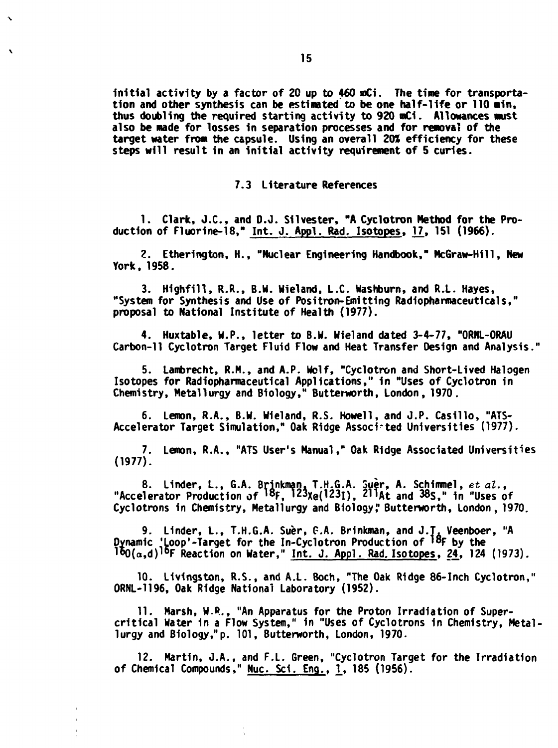**initial activity by a factor of 20 up to 460 mCi. The time for transportation and other synthesis can be estimated to be one half-life or 110 min, thus doubling the required starting activity to 920 raCi. Allowances must also be made for losses in separation processes and for removal of the target water from the capsule. Using an overall 201 efficiency for these steps will result in an initial activity requirement of 5 curies.** 

### **7.3 Literature References**

**1. Clark, J.C., and O.J. Silvester, "A Cyclotron Method for the Pro**duction of Fluorine-18," Int. J. Appl. Rad. Isotopes, 17, 151 (1966).

**2. Etherington, H., "Nuclear Engineering Handbook," McGraw-Hill, New York, 1958.** 

**3. Highfill, R.R., B.W. Hieland, L.C. Washburn, and R.L. Hayes, "System for Synthesis and Use of Positron-Emitting Radiopharmaceuticals," proposal to National Institute of Health (1977).** 

**4. Huxtable, H.P., letter to B.W. Wieland dated 3-4-77, "0RNL-0RAU Carbon-11 Cyclotron Target Fluid Flow and Heat Transfer Design and Analysis."** 

**5. Lambrecht, R.M., and A.P. Wolf, "Cyclotron and Short-Lived Halogen Isotopes for Radiopharmaceutical Applications," in "Uses of Cyclotron in Chemistry, Metallurgy and Biology," Butter-worth, London, 1970.** 

**6. Lemon, R.A., B.W. Wieland, R.S. Howell, and J.P. Casillo, "ATS-Accelerator Target Simulation," Oak Ridge Associ'ted Universities (1977).** 

**7. Lemon, R.A., "ATS User's Manual," Oak Ridge Associated Universities (1977).** 

**8. Linder, L., G.A. Brinkman. T.H.G.A. Suer, A. Schimmel,** *etal.,*  **"Accelerator Production of <sup>18</sup> F , «2 3Xe(123i), 21lAt and 38s," in "Uses of Cyclotrons in Chemistry, Metallurgy and Biology" Butterworth, London, 1970.** 

9. Linder, L., T.H.G.A. Suer, G.A. Brinkman, and J.T. Veenboer, "A Dynamic 'Loop'-Target for the In-Cyclotron Production of <sup>18</sup>F by the **1oo(o,d) 1 6F Reaction on Water," Int. J. Appl. Rad. Isotopes, 24\_, 124 (1973).** 

**10. Livingston, R.S., and A.L. Boch, "The Oak Ridge 86-Inch Cyclotron," ORNL-1196, Oak Ridge National Laboratory (1952).** 

**11. Marsh, W.R., "An Apparatus for the Proton Irradiation of Supercritical Water 1n a Flow System," in "Uses of Cyclotrons 1n Chemistry, Metallurgy and Biology," p. 101, Butterworth, London, 1970.** 

**12. Martin, J.A., and F.L. Green, "Cyclotron Target for the Irradiation of Chemical Compounds," Nuc. Sc1. Eng., 1\_, 185 (1956).**